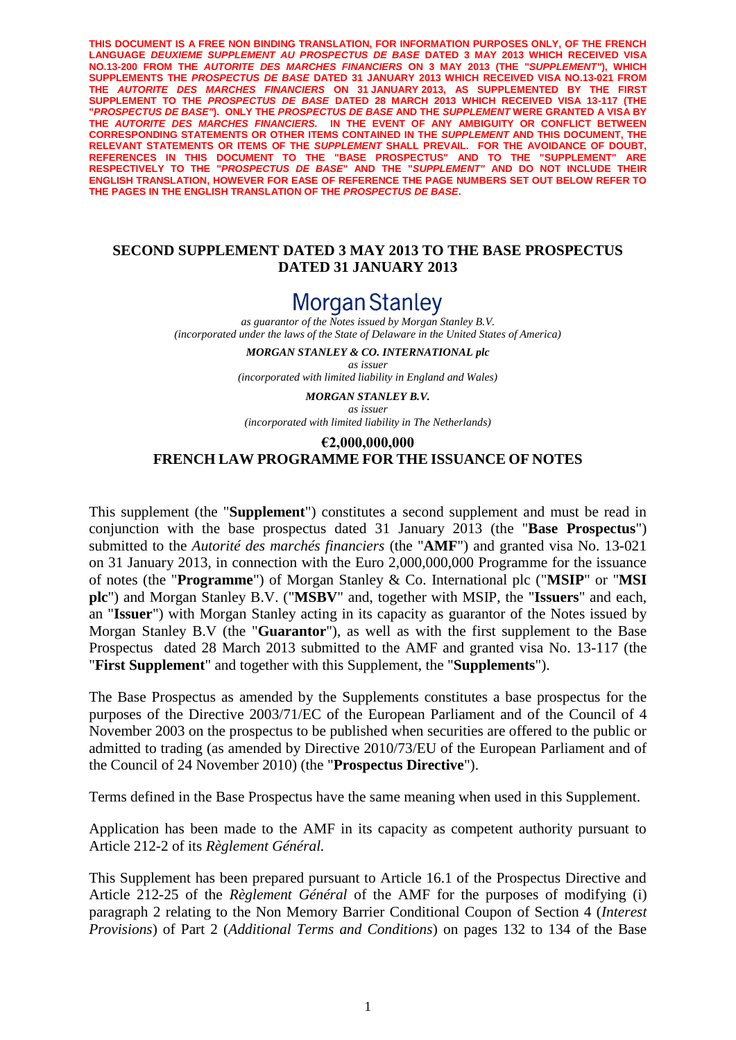**THIS DOCUMENT IS A FREE NON BINDING TRANSLATION, FOR INFORMATION PURPOSES ONLY, OF THE FRENCH LANGUAGE** *DEUXIEME SUPPLEMENT AU PROSPECTUS DE BASE* **DATED 3 MAY 2013 WHICH RECEIVED VISA NO.13-200 FROM THE** *AUTORITE DES MARCHES FINANCIERS* **ON 3 MAY 2013 (THE "***SUPPLEMENT"***), WHICH SUPPLEMENTS THE** *PROSPECTUS DE BASE* **DATED 31 JANUARY 2013 WHICH RECEIVED VISA NO.13-021 FROM THE** *AUTORITE DES MARCHES FINANCIERS* **ON 31 JANUARY 2013, AS SUPPLEMENTED BY THE FIRST SUPPLEMENT TO THE** *PROSPECTUS DE BASE* **DATED 28 MARCH 2013 WHICH RECEIVED VISA 13-117 (THE "***PROSPECTUS DE BASE"***). ONLY THE** *PROSPECTUS DE BASE* **AND THE** *SUPPLEMENT* **WERE GRANTED A VISA BY THE** *AUTORITE DES MARCHES FINANCIERS.* **IN THE EVENT OF ANY AMBIGUITY OR CONFLICT BETWEEN CORRESPONDING STATEMENTS OR OTHER ITEMS CONTAINED IN THE** *SUPPLEMENT* **AND THIS DOCUMENT, THE RELEVANT STATEMENTS OR ITEMS OF THE** *SUPPLEMENT* **SHALL PREVAIL. FOR THE AVOIDANCE OF DOUBT, REFERENCES IN THIS DOCUMENT TO THE "BASE PROSPECTUS" AND TO THE "SUPPLEMENT" ARE RESPECTIVELY TO THE "***PROSPECTUS DE BASE***" AND THE "***SUPPLEMENT"* **AND DO NOT INCLUDE THEIR ENGLISH TRANSLATION, HOWEVER FOR EASE OF REFERENCE THE PAGE NUMBERS SET OUT BELOW REFER TO THE PAGES IN THE ENGLISH TRANSLATION OF THE** *PROSPECTUS DE BASE***.** 

#### **SECOND SUPPLEMENT DATED 3 MAY 2013 TO THE BASE PROSPECTUS DATED 31 JANUARY 2013**

# Morgan Stanley

*as guarantor of the Notes issued by Morgan Stanley B.V. (incorporated under the laws of the State of Delaware in the United States of America)*

> *MORGAN STANLEY & CO. INTERNATIONAL plc as issuer (incorporated with limited liability in England and Wales)*

*MORGAN STANLEY B.V. as issuer*

*(incorporated with limited liability in The Netherlands)*

#### **€2,000,000,000**

## **FRENCH LAW PROGRAMME FOR THE ISSUANCE OF NOTES**

This supplement (the "**Supplement**") constitutes a second supplement and must be read in conjunction with the base prospectus dated 31 January 2013 (the "**Base Prospectus**") submitted to the *Autorité des marchés financiers* (the "**AMF**") and granted visa No. 13-021 on 31 January 2013, in connection with the Euro 2,000,000,000 Programme for the issuance of notes (the "**Programme**") of Morgan Stanley & Co. International plc ("**MSIP**" or "**MSI plc**") and Morgan Stanley B.V. ("**MSBV**" and, together with MSIP, the "**Issuers**" and each, an "**Issuer**") with Morgan Stanley acting in its capacity as guarantor of the Notes issued by Morgan Stanley B.V (the "**Guarantor**"), as well as with the first supplement to the Base Prospectus dated 28 March 2013 submitted to the AMF and granted visa No. 13-117 (the "**First Supplement**" and together with this Supplement, the "**Supplements**").

The Base Prospectus as amended by the Supplements constitutes a base prospectus for the purposes of the Directive 2003/71/EC of the European Parliament and of the Council of 4 November 2003 on the prospectus to be published when securities are offered to the public or admitted to trading (as amended by Directive 2010/73/EU of the European Parliament and of the Council of 24 November 2010) (the "**Prospectus Directive**").

Terms defined in the Base Prospectus have the same meaning when used in this Supplement.

Application has been made to the AMF in its capacity as competent authority pursuant to Article 212-2 of its *Règlement Général.*

This Supplement has been prepared pursuant to Article 16.1 of the Prospectus Directive and Article 212-25 of the *Règlement Général* of the AMF for the purposes of modifying (i) paragraph 2 relating to the Non Memory Barrier Conditional Coupon of Section 4 (*Interest Provisions*) of Part 2 (*Additional Terms and Conditions*) on pages 132 to 134 of the Base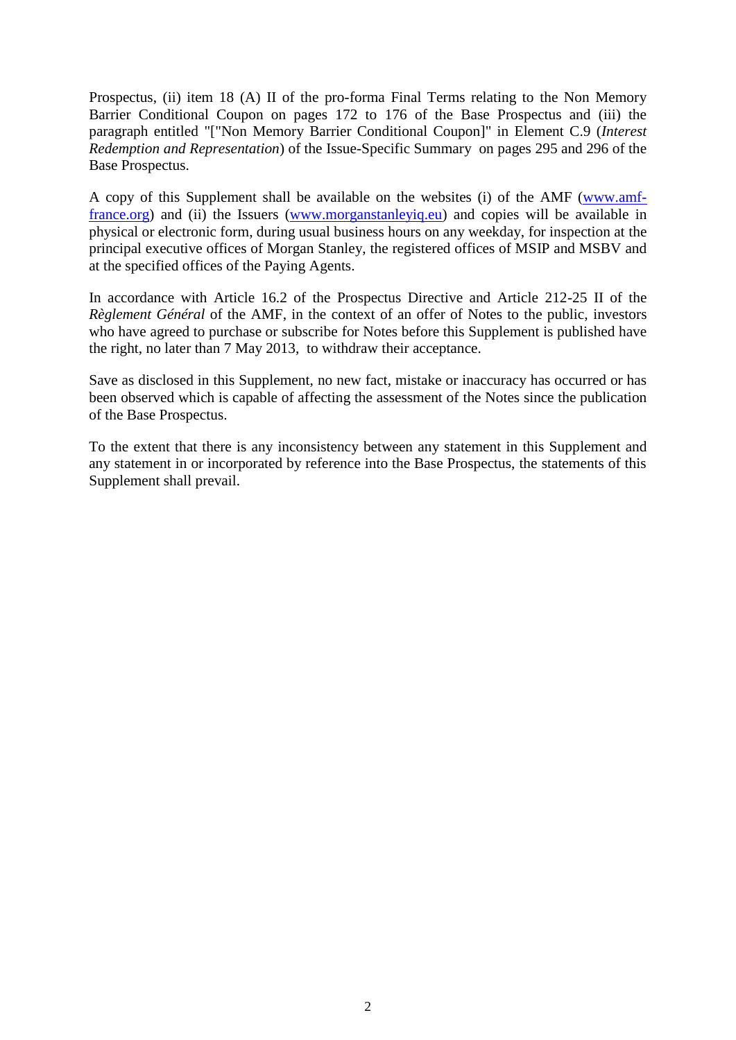Prospectus, (ii) item 18 (A) II of the pro-forma Final Terms relating to the Non Memory Barrier Conditional Coupon on pages 172 to 176 of the Base Prospectus and (iii) the paragraph entitled "["Non Memory Barrier Conditional Coupon]" in Element C.9 (*Interest Redemption and Representation*) of the Issue-Specific Summary on pages 295 and 296 of the Base Prospectus.

A copy of this Supplement shall be available on the websites (i) of the AMF [\(www.amf](http://spr1.intranet.cliffordchance.com/sites/36-40545950/Documents/www.amf-france.org)[france.org\)](http://spr1.intranet.cliffordchance.com/sites/36-40545950/Documents/www.amf-france.org) and (ii) the Issuers [\(www.morganstanleyiq.eu\)](http://spr1.intranet.cliffordchance.com/sites/FR-3000-NEW/Documents/www.morganstanleyiq.eu) and copies will be available in physical or electronic form, during usual business hours on any weekday, for inspection at the principal executive offices of Morgan Stanley, the registered offices of MSIP and MSBV and at the specified offices of the Paying Agents.

In accordance with Article 16.2 of the Prospectus Directive and Article 212-25 II of the *Règlement Général* of the AMF, in the context of an offer of Notes to the public, investors who have agreed to purchase or subscribe for Notes before this Supplement is published have the right, no later than 7 May 2013, to withdraw their acceptance.

Save as disclosed in this Supplement, no new fact, mistake or inaccuracy has occurred or has been observed which is capable of affecting the assessment of the Notes since the publication of the Base Prospectus.

To the extent that there is any inconsistency between any statement in this Supplement and any statement in or incorporated by reference into the Base Prospectus, the statements of this Supplement shall prevail.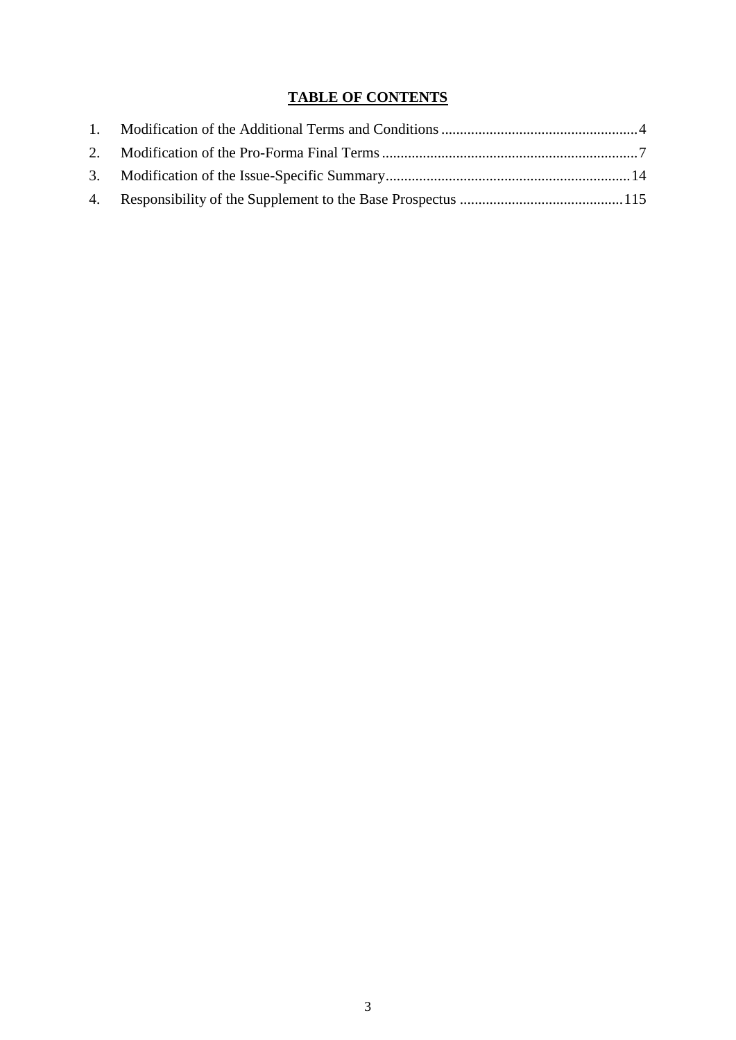## **TABLE OF CONTENTS**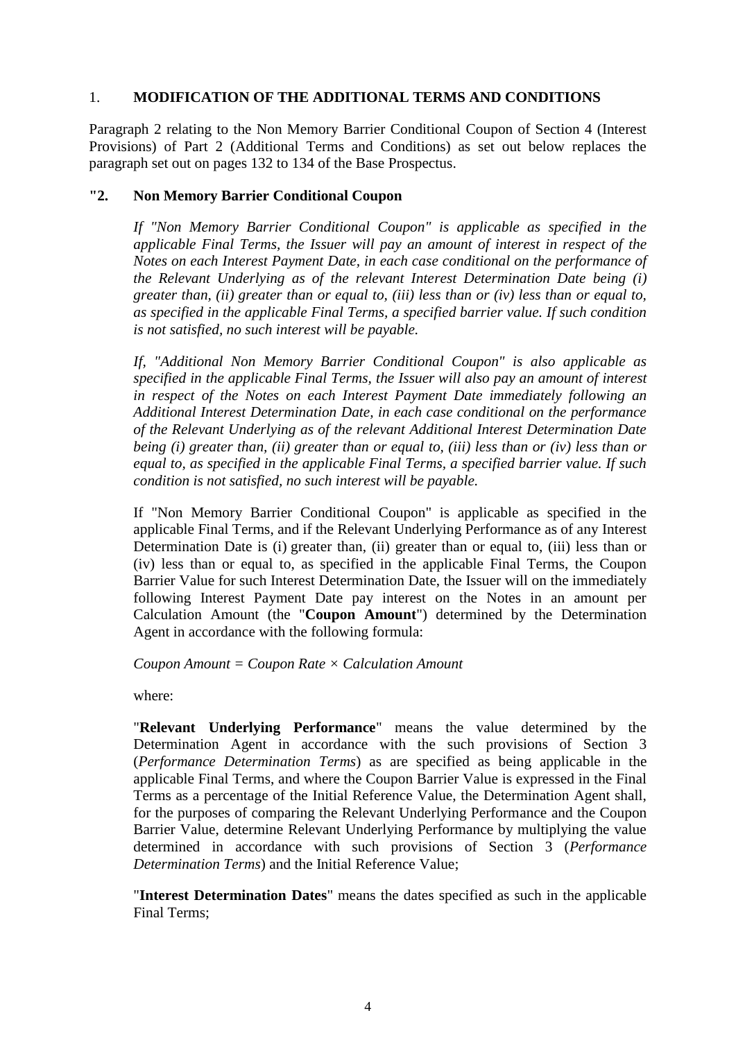#### 1. **MODIFICATION OF THE ADDITIONAL TERMS AND CONDITIONS**

Paragraph 2 relating to the Non Memory Barrier Conditional Coupon of Section 4 (Interest Provisions) of Part 2 (Additional Terms and Conditions) as set out below replaces the paragraph set out on pages 132 to 134 of the Base Prospectus.

## **"2. Non Memory Barrier Conditional Coupon**

*If "Non Memory Barrier Conditional Coupon" is applicable as specified in the applicable Final Terms, the Issuer will pay an amount of interest in respect of the Notes on each Interest Payment Date, in each case conditional on the performance of the Relevant Underlying as of the relevant Interest Determination Date being (i) greater than, (ii) greater than or equal to, (iii) less than or (iv) less than or equal to, as specified in the applicable Final Terms, a specified barrier value. If such condition is not satisfied, no such interest will be payable.* 

*If, "Additional Non Memory Barrier Conditional Coupon" is also applicable as specified in the applicable Final Terms, the Issuer will also pay an amount of interest in respect of the Notes on each Interest Payment Date immediately following an Additional Interest Determination Date, in each case conditional on the performance of the Relevant Underlying as of the relevant Additional Interest Determination Date being (i) greater than, (ii) greater than or equal to, (iii) less than or (iv) less than or equal to, as specified in the applicable Final Terms, a specified barrier value. If such condition is not satisfied, no such interest will be payable.*

If "Non Memory Barrier Conditional Coupon" is applicable as specified in the applicable Final Terms, and if the Relevant Underlying Performance as of any Interest Determination Date is (i) greater than, (ii) greater than or equal to, (iii) less than or (iv) less than or equal to, as specified in the applicable Final Terms, the Coupon Barrier Value for such Interest Determination Date, the Issuer will on the immediately following Interest Payment Date pay interest on the Notes in an amount per Calculation Amount (the "**Coupon Amount**") determined by the Determination Agent in accordance with the following formula:

#### *Coupon Amount = Coupon Rate × Calculation Amount*

where:

"**Relevant Underlying Performance**" means the value determined by the Determination Agent in accordance with the such provisions of Section 3 (*Performance Determination Terms*) as are specified as being applicable in the applicable Final Terms, and where the Coupon Barrier Value is expressed in the Final Terms as a percentage of the Initial Reference Value, the Determination Agent shall, for the purposes of comparing the Relevant Underlying Performance and the Coupon Barrier Value, determine Relevant Underlying Performance by multiplying the value determined in accordance with such provisions of Section 3 (*Performance Determination Terms*) and the Initial Reference Value;

"**Interest Determination Dates**" means the dates specified as such in the applicable Final Terms;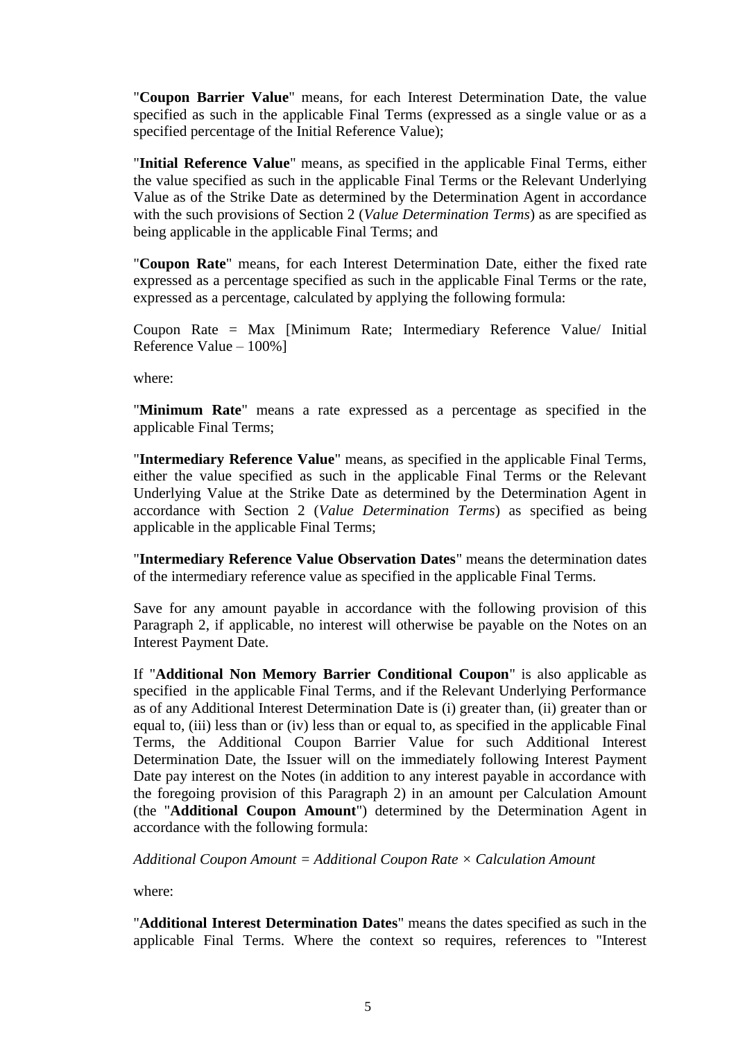"**Coupon Barrier Value**" means, for each Interest Determination Date, the value specified as such in the applicable Final Terms (expressed as a single value or as a specified percentage of the Initial Reference Value);

"**Initial Reference Value**" means, as specified in the applicable Final Terms, either the value specified as such in the applicable Final Terms or the Relevant Underlying Value as of the Strike Date as determined by the Determination Agent in accordance with the such provisions of Section 2 (*Value Determination Terms*) as are specified as being applicable in the applicable Final Terms; and

"**Coupon Rate**" means, for each Interest Determination Date, either the fixed rate expressed as a percentage specified as such in the applicable Final Terms or the rate, expressed as a percentage, calculated by applying the following formula:

Coupon Rate = Max [Minimum Rate; Intermediary Reference Value/ Initial Reference Value – 100%]

where:

"**Minimum Rate**" means a rate expressed as a percentage as specified in the applicable Final Terms;

"**Intermediary Reference Value**" means, as specified in the applicable Final Terms, either the value specified as such in the applicable Final Terms or the Relevant Underlying Value at the Strike Date as determined by the Determination Agent in accordance with Section 2 (*Value Determination Terms*) as specified as being applicable in the applicable Final Terms;

"**Intermediary Reference Value Observation Dates**" means the determination dates of the intermediary reference value as specified in the applicable Final Terms.

Save for any amount payable in accordance with the following provision of this Paragraph 2, if applicable, no interest will otherwise be payable on the Notes on an Interest Payment Date.

If "**Additional Non Memory Barrier Conditional Coupon**" is also applicable as specified in the applicable Final Terms, and if the Relevant Underlying Performance as of any Additional Interest Determination Date is (i) greater than, (ii) greater than or equal to, (iii) less than or (iv) less than or equal to, as specified in the applicable Final Terms, the Additional Coupon Barrier Value for such Additional Interest Determination Date, the Issuer will on the immediately following Interest Payment Date pay interest on the Notes (in addition to any interest payable in accordance with the foregoing provision of this Paragraph 2) in an amount per Calculation Amount (the "**Additional Coupon Amount**") determined by the Determination Agent in accordance with the following formula:

*Additional Coupon Amount = Additional Coupon Rate × Calculation Amount*

where:

"**Additional Interest Determination Dates**" means the dates specified as such in the applicable Final Terms. Where the context so requires, references to "Interest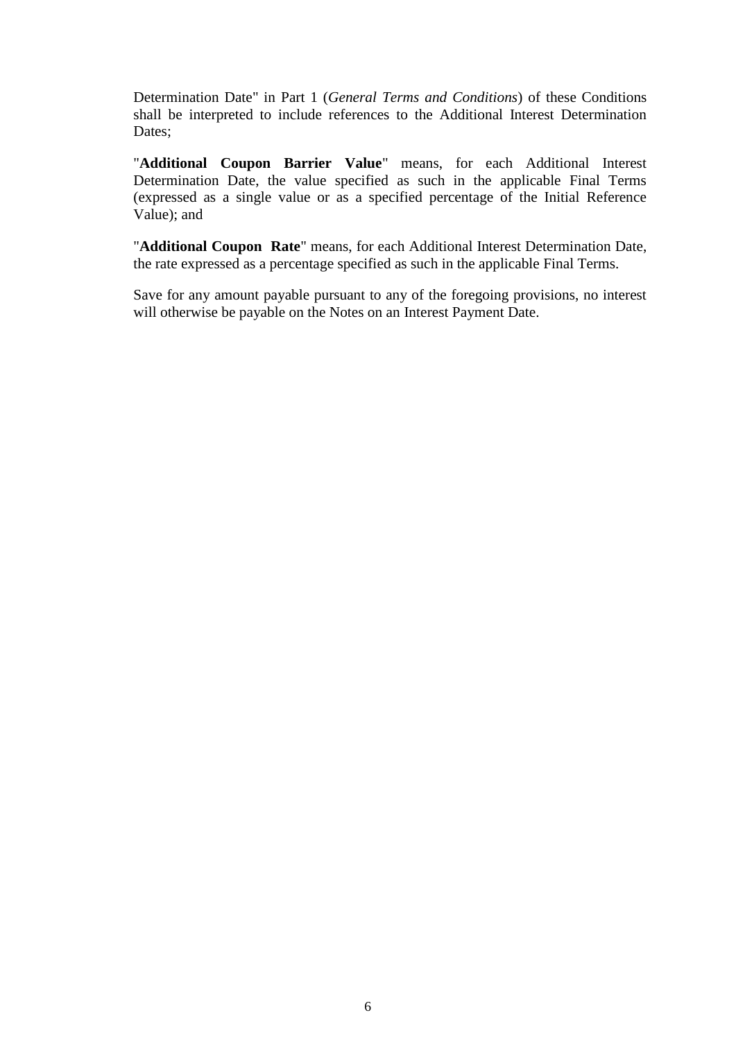Determination Date" in Part 1 (*General Terms and Conditions*) of these Conditions shall be interpreted to include references to the Additional Interest Determination Dates:

"**Additional Coupon Barrier Value**" means, for each Additional Interest Determination Date, the value specified as such in the applicable Final Terms (expressed as a single value or as a specified percentage of the Initial Reference Value); and

"**Additional Coupon Rate**" means, for each Additional Interest Determination Date, the rate expressed as a percentage specified as such in the applicable Final Terms.

Save for any amount payable pursuant to any of the foregoing provisions, no interest will otherwise be payable on the Notes on an Interest Payment Date.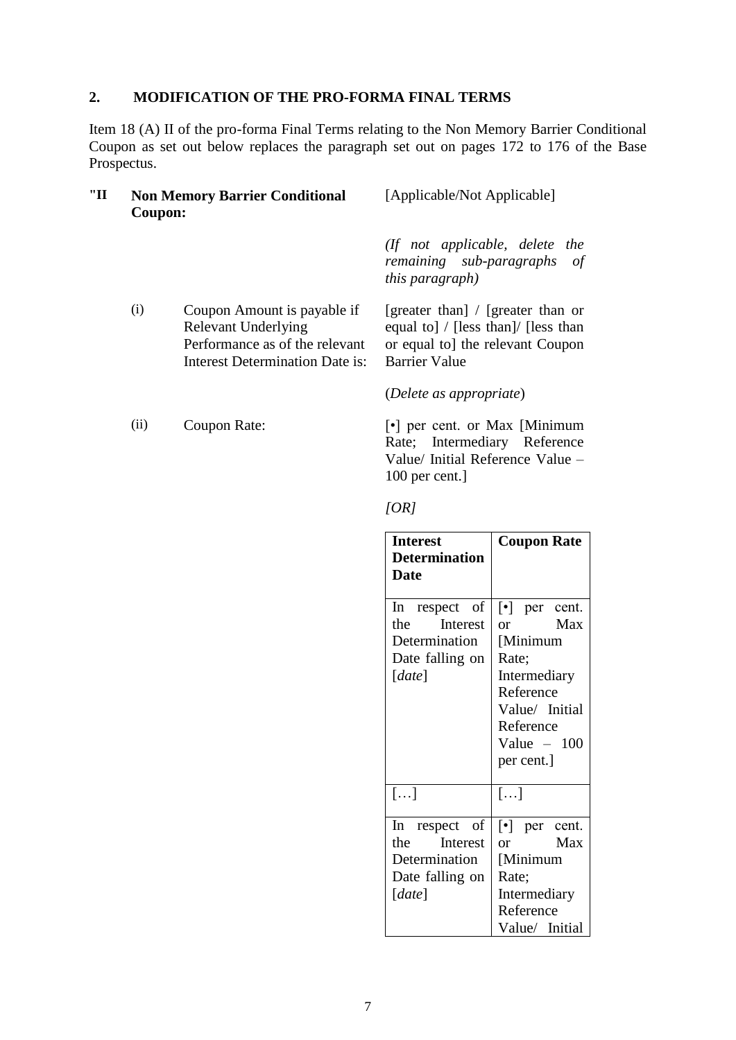## **2. MODIFICATION OF THE PRO-FORMA FINAL TERMS**

Item 18 (A) II of the pro-forma Final Terms relating to the Non Memory Barrier Conditional Coupon as set out below replaces the paragraph set out on pages 172 to 176 of the Base Prospectus.

| "П | <b>Non Memory Barrier Conditional</b><br>Coupon: | [Applicable/Not Applicable]                                                                      |  |  |
|----|--------------------------------------------------|--------------------------------------------------------------------------------------------------|--|--|
|    |                                                  | (If not applicable, delete the<br>$\cdots$ $\cdots$ $\cdots$ $\cdots$ $\cdots$ $\cdots$ $\cdots$ |  |  |

(i) Coupon Amount is payable if Relevant Underlying Performance as of the relevant Interest Determination Date is:

*remaining sub-paragraphs of this paragraph)*

[greater than] / [greater than or equal to] / [less than]/ [less than or equal to] the relevant Coupon Barrier Value

(*Delete as appropriate*)

(ii) Coupon Rate: [•] per cent. or Max [Minimum Rate; Intermediary Reference Value/ Initial Reference Value – 100 per cent.]

*[OR]*

| <b>Interest</b><br><b>Determination</b><br><b>Date</b>                            | <b>Coupon Rate</b>                                                                                                                                                         |
|-----------------------------------------------------------------------------------|----------------------------------------------------------------------------------------------------------------------------------------------------------------------------|
| In respect of<br>Interest<br>the<br>Determination<br>Date falling on<br>[date]    | $\lbrack \bullet \rbrack$ per cent.<br>Max<br><sub>or</sub><br>[Minimum<br>Rate;<br>Intermediary<br>Reference<br>Value/ Initial<br>Reference<br>Value $-100$<br>per cent.] |
| []                                                                                | $[\dots]$                                                                                                                                                                  |
| In<br>respect of<br>the<br>Interest<br>Determination<br>Date falling on<br>[date] | $\lceil \cdot \rceil$ per cent.<br>Max<br>or<br>[Minimum<br>Rate;<br>Intermediary<br>Reference<br>Value/ Initial                                                           |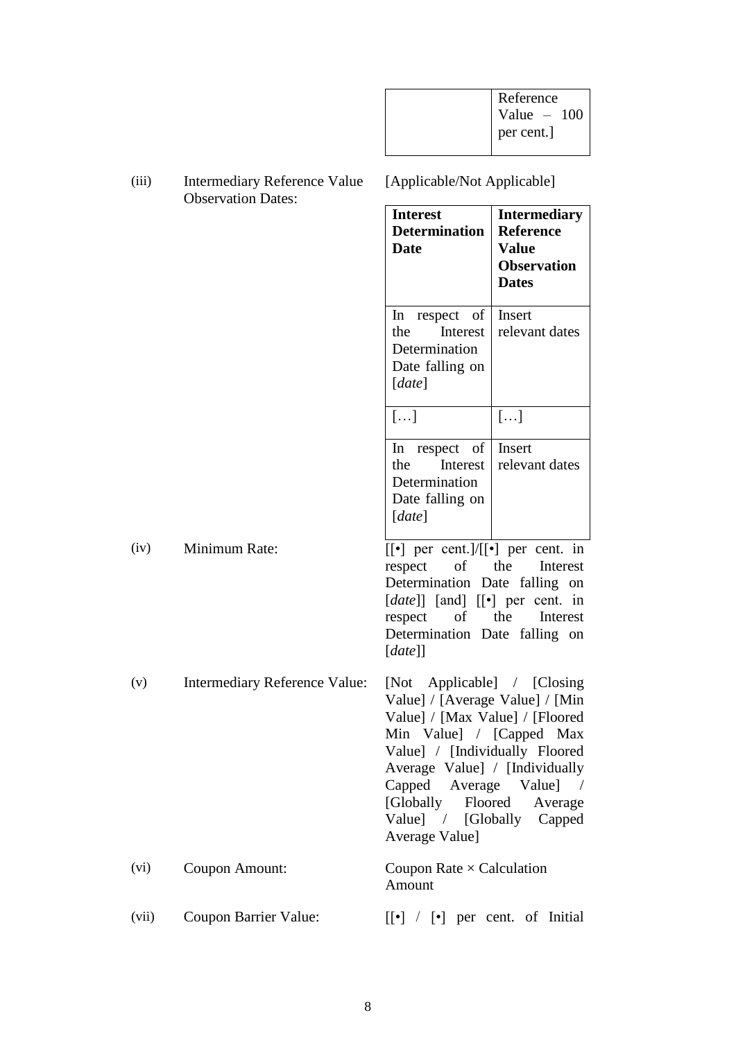| Reference    |
|--------------|
| Value $-100$ |
| per cent.]   |
|              |

(iii) Intermediary Reference Value Observation Dates: [Applicable/Not Applicable] **Interest Determination Date Intermediary Reference Value Observation Dates** In respect of the Interest Determination Date falling on [*date*] **Insert** relevant dates  $\lceil$ ...]  $\lceil$ ...] In respect of the Interest **Determination** Date falling on [*date*] Insert relevant dates (iv) Minimum Rate:  $[[\cdot]]$  per cent.  $]/[[\cdot]]$  per cent. in respect of the Interest Determination Date falling on [*date*]] [and] [[•] per cent. in respect of the Interest Determination Date falling on [*date*]] (v) Intermediary Reference Value: [Not Applicable] / [Closing Value] / [Average Value] / [Min Value] / [Max Value] / [Floored Min Value] / [Capped Max Value] / [Individually Floored Average Value] / [Individually Capped Average Value] / [Globally Floored Average Value] / [Globally Capped Average Value] (vi) Coupon Amount: Coupon Rate × Calculation Amount (vii) Coupon Barrier Value: [[•] / [•] per cent. of Initial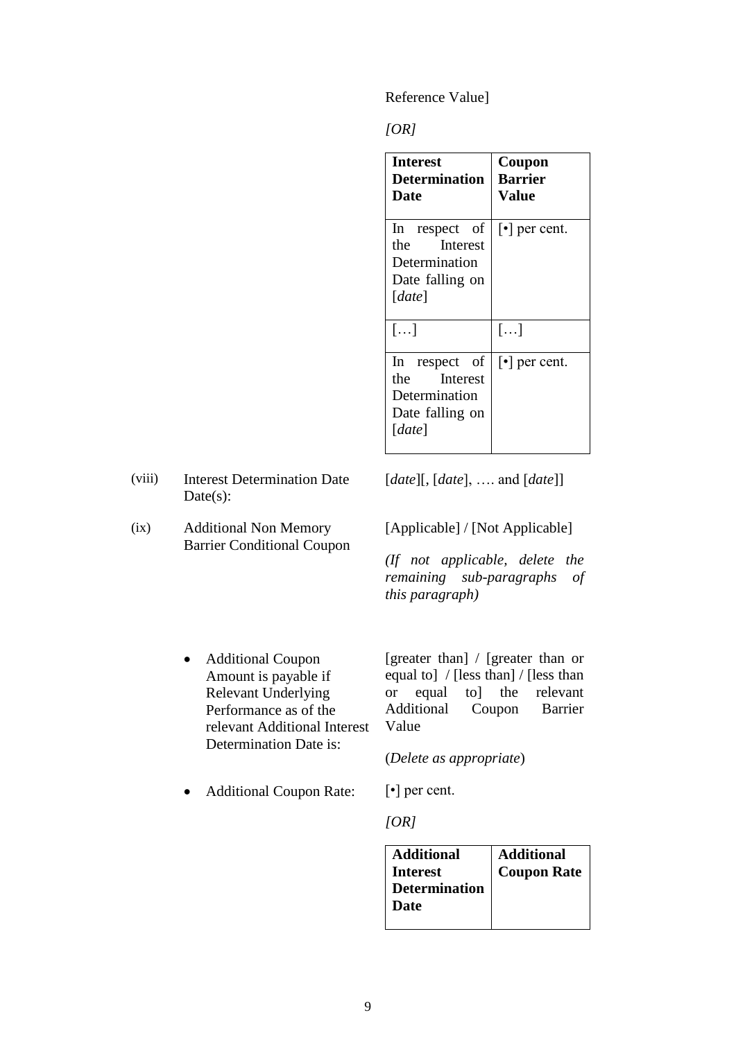Reference Value]

#### *[OR]*

| <b>Interest</b><br><b>Determination</b><br>Date                                       | Coupon<br><b>Barrier</b><br>Value |
|---------------------------------------------------------------------------------------|-----------------------------------|
| In respect of<br><b>Interest</b><br>the<br>Determination<br>Date falling on<br>[date] | $\lceil \cdot \rceil$ per cent.   |
| $\left[\ldots\right]$                                                                 | $[\ldots]$                        |
| In respect of<br>the<br><b>Interest</b><br>Determination<br>Date falling on<br>[date] | $\lceil \cdot \rceil$ per cent.   |

- (viii) Interest Determination Date Date(s):
- (ix) Additional Non Memory Barrier Conditional Coupon

[*date*][, [*date*], …. and [*date*]]

[Applicable] / [Not Applicable]

*(If not applicable, delete the remaining sub-paragraphs of this paragraph)*

 Additional Coupon Amount is payable if Relevant Underlying Performance as of the relevant Additional Interest Determination Date is:

[greater than] / [greater than or equal to] / [less than] / [less than or equal to] the relevant Additional Coupon Barrier Value

(*Delete as appropriate*)

• Additional Coupon Rate:  $[\cdot]$  per cent.

*[OR]*

| <b>Additional</b>    | <b>Additional</b>  |
|----------------------|--------------------|
| <b>Interest</b>      | <b>Coupon Rate</b> |
| <b>Determination</b> |                    |
| <b>Date</b>          |                    |
|                      |                    |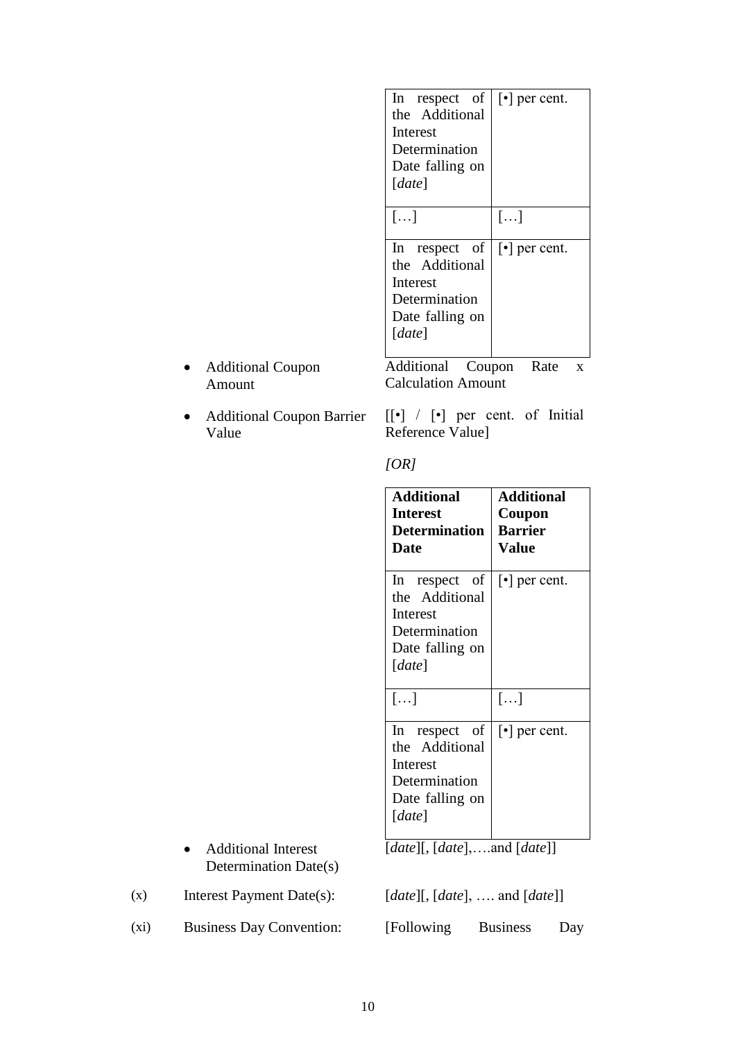| In respect of         | $\lceil \cdot \rceil$ per cent. |
|-----------------------|---------------------------------|
| the Additional        |                                 |
| Interest              |                                 |
| Determination         |                                 |
| Date falling on       |                                 |
| [date]                |                                 |
|                       |                                 |
| $\left[\ldots\right]$ | $\left  \ldots \right $         |
|                       |                                 |
| In respect of         | $\lceil \cdot \rceil$ per cent. |
| the Additional        |                                 |
| Interest              |                                 |
| Determination         |                                 |
| Date falling on       |                                 |
| [date]                |                                 |
|                       |                                 |
| Additional<br>Coupon  | Rate<br>X                       |

 Additional Coupon Amount

> [[•] / [•] per cent. of Initial Reference Value]

Calculation Amount

 Additional Coupon Barrier Value

*[OR]*

| <b>Additional</b><br><b>Interest</b><br><b>Determination</b><br>Date                               | <b>Additional</b><br>Coupon<br><b>Barrier</b><br><b>Value</b> |
|----------------------------------------------------------------------------------------------------|---------------------------------------------------------------|
| respect of<br>ln<br>the Additional<br>Interest<br>Determination<br>Date falling on<br>[date]       | $\lceil \cdot \rceil$ per cent.                               |
| []                                                                                                 | $[\ldots]$                                                    |
| respect<br>$\ln$<br>οf<br>the Additional<br>Interest<br>Determination<br>Date falling on<br>[date] | $\lceil \cdot \rceil$ per cent.                               |

[*date*][, [*date*],….and [*date*]]

(x) Interest Payment Date(s): [*date*][, [*date*], …. and [*date*]]

(xi) Business Day Convention: [Following Business Day

Additional Interest

Determination Date(s)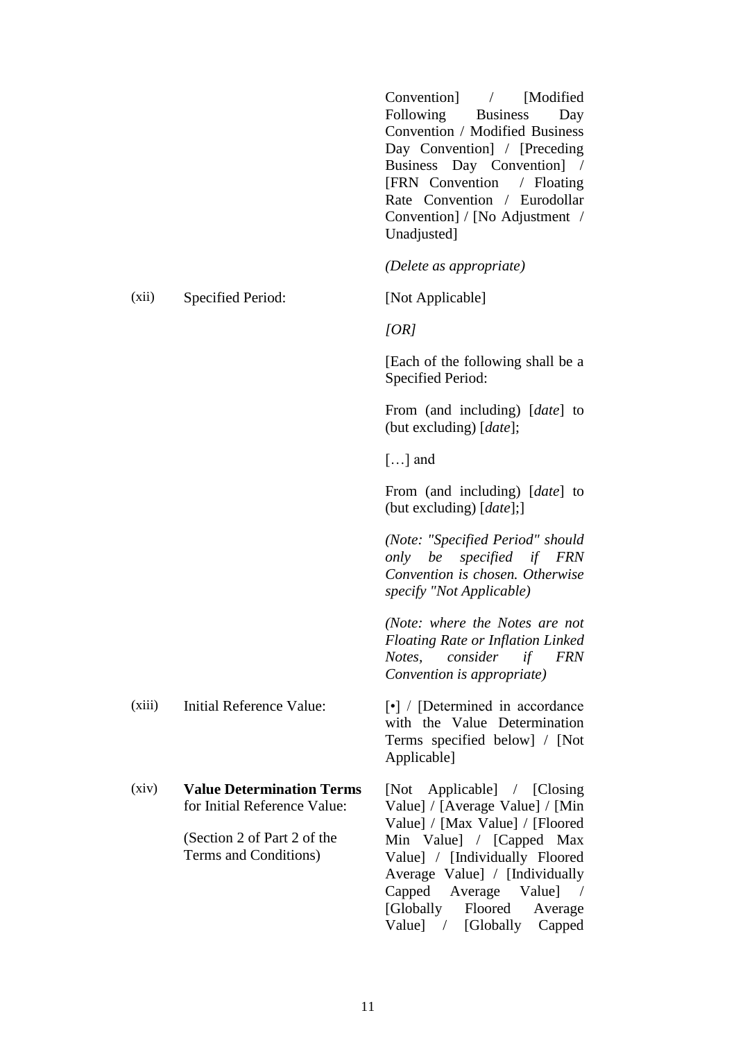|        |                                                                  | Convention / [Modified<br>Following Business<br>Day<br>Convention / Modified Business<br>Day Convention] / [Preceding<br>Business Day Convention] /<br>[FRN Convention / Floating<br>Rate Convention / Eurodollar<br>Convention] / [No Adjustment /<br>Unadjusted] |
|--------|------------------------------------------------------------------|--------------------------------------------------------------------------------------------------------------------------------------------------------------------------------------------------------------------------------------------------------------------|
|        |                                                                  | (Delete as appropriate)                                                                                                                                                                                                                                            |
| (xii)  | Specified Period:                                                | [Not Applicable]                                                                                                                                                                                                                                                   |
|        |                                                                  | [OR]                                                                                                                                                                                                                                                               |
|        |                                                                  | [Each of the following shall be a<br>Specified Period:                                                                                                                                                                                                             |
|        |                                                                  | From (and including) [ <i>date</i> ] to<br>(but excluding) [ <i>date</i> ];                                                                                                                                                                                        |
|        |                                                                  | $[]$ and                                                                                                                                                                                                                                                           |
|        |                                                                  | From (and including) [ <i>date</i> ] to<br>(but excluding) [date];]                                                                                                                                                                                                |
|        |                                                                  | (Note: "Specified Period" should<br>only be specified if FRN<br>Convention is chosen. Otherwise<br>specify "Not Applicable)                                                                                                                                        |
|        |                                                                  | (Note: where the Notes are not<br><b>Floating Rate or Inflation Linked</b><br>Notes, consider if FRN<br>Convention is appropriate)                                                                                                                                 |
| (xiii) | Initial Reference Value:                                         | $\lceil \cdot \rceil$ / [Determined in accordance<br>with the Value Determination<br>Terms specified below] / [Not<br>Applicable]                                                                                                                                  |
| (xiv)  | <b>Value Determination Terms</b><br>for Initial Reference Value: | [Not Applicable] / [Closing]<br>Value] / [Average Value] / [Min<br>Value] / [Max Value] / [Floored]                                                                                                                                                                |
|        | (Section 2 of Part 2 of the<br>Terms and Conditions)             | Min Value] / [Capped Max<br>Value] / [Individually Floored<br>Average Value] / [Individually<br>Capped Average Value] /<br>[Globally Floored]<br>Average<br>Value] / [Globally Capped                                                                              |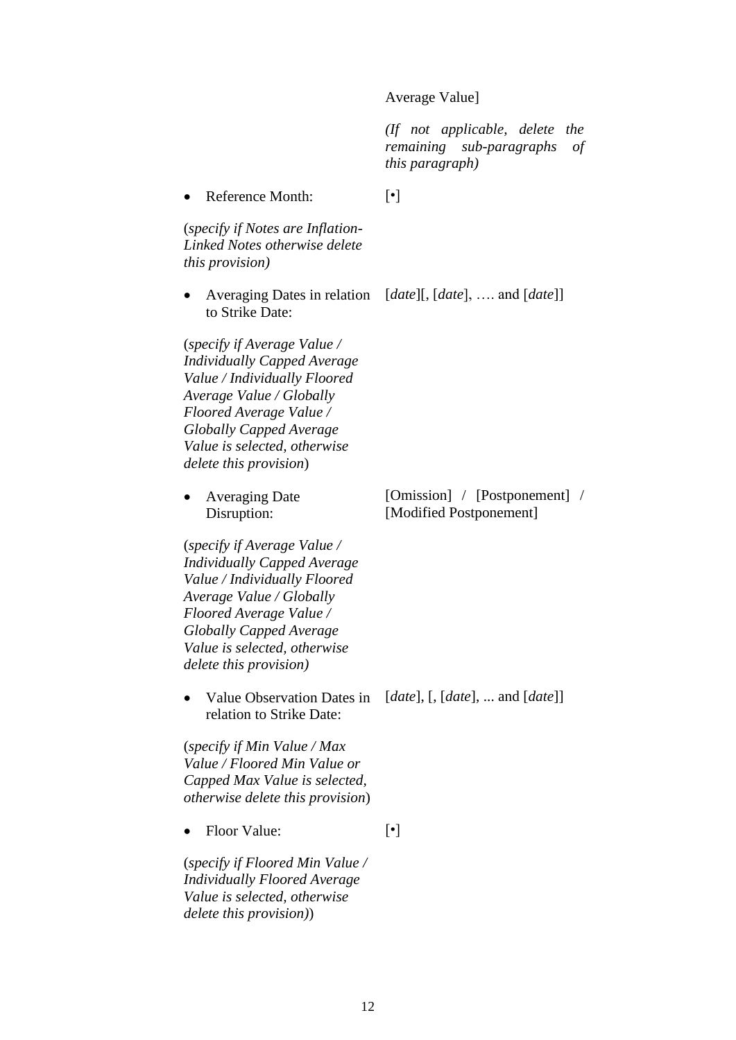#### Average Value]

*(If not applicable, delete the remaining sub-paragraphs of this paragraph)*

• Reference Month: (*specify if Notes are Inflation-Linked Notes otherwise delete this provision)* [•] Averaging Dates in relation [*date*][, [*date*], …. and [*date*]] to Strike Date: (*specify if Average Value / Individually Capped Average Value / Individually Floored Average Value / Globally Floored Average Value / Globally Capped Average Value is selected, otherwise delete this provision*) • Averaging Date Disruption: (*specify if Average Value / Individually Capped Average Value / Individually Floored Average Value / Globally Floored Average Value / Globally Capped Average Value is selected, otherwise delete this provision)* [Omission] / [Postponement] / [Modified Postponement] Value Observation Dates in [*date*], [, [*date*], ... and [*date*]] relation to Strike Date: (*specify if Min Value / Max Value / Floored Min Value or Capped Max Value is selected, otherwise delete this provision*) • Floor Value: (*specify if Floored Min Value / Individually Floored Average Value is selected, otherwise delete this provision)*) [•]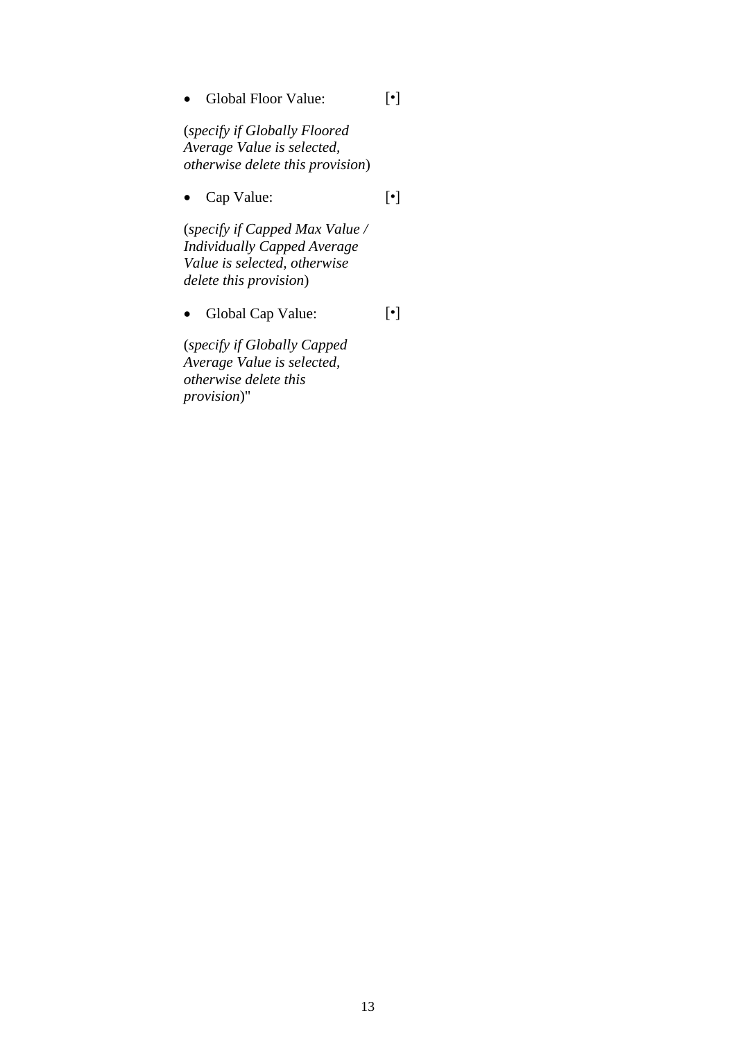Global Floor Value:

[•]

(*specify if Globally Floored Average Value is selected, otherwise delete this provision*)

 Cap Value: [•]

(*specify if Capped Max Value / Individually Capped Average Value is selected, otherwise delete this provision*)

 Global Cap Value: [•]

(*specify if Globally Capped Average Value is selected, otherwise delete this provision*)"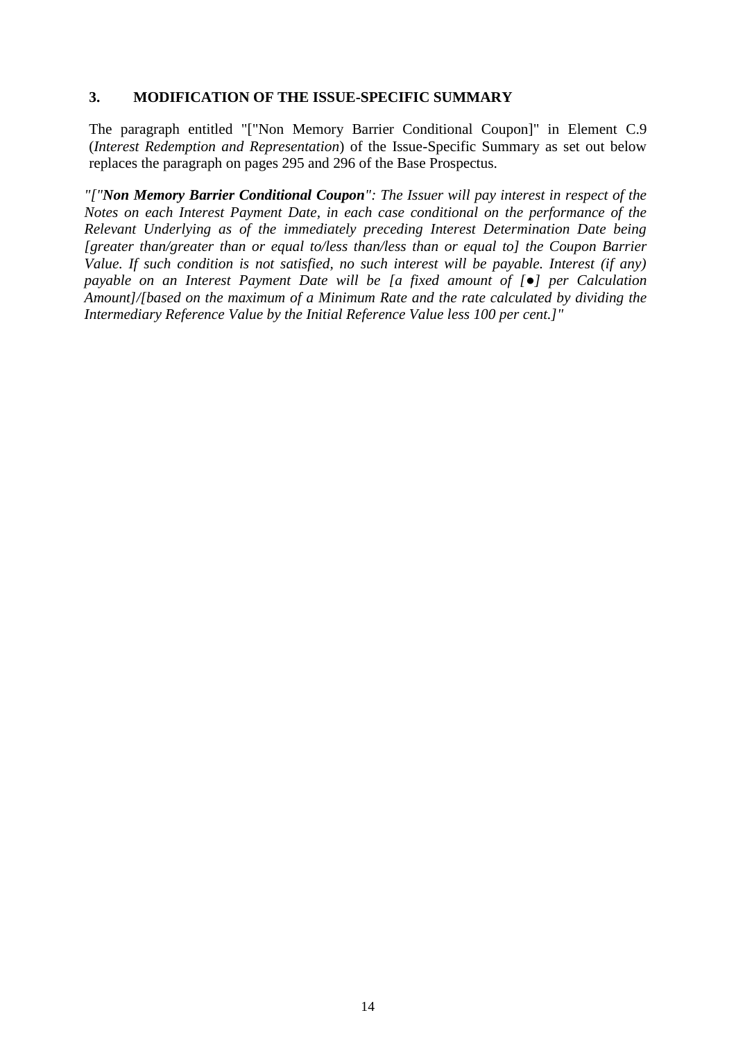## **3. MODIFICATION OF THE ISSUE-SPECIFIC SUMMARY**

The paragraph entitled "["Non Memory Barrier Conditional Coupon]" in Element C.9 (*Interest Redemption and Representation*) of the Issue-Specific Summary as set out below replaces the paragraph on pages 295 and 296 of the Base Prospectus.

*"["Non Memory Barrier Conditional Coupon": The Issuer will pay interest in respect of the Notes on each Interest Payment Date, in each case conditional on the performance of the Relevant Underlying as of the immediately preceding Interest Determination Date being [greater than/greater than or equal to/less than/less than or equal to] the Coupon Barrier Value. If such condition is not satisfied, no such interest will be payable. Interest (if any) payable on an Interest Payment Date will be [a fixed amount of [*●*] per Calculation Amount]/[based on the maximum of a Minimum Rate and the rate calculated by dividing the Intermediary Reference Value by the Initial Reference Value less 100 per cent.]"*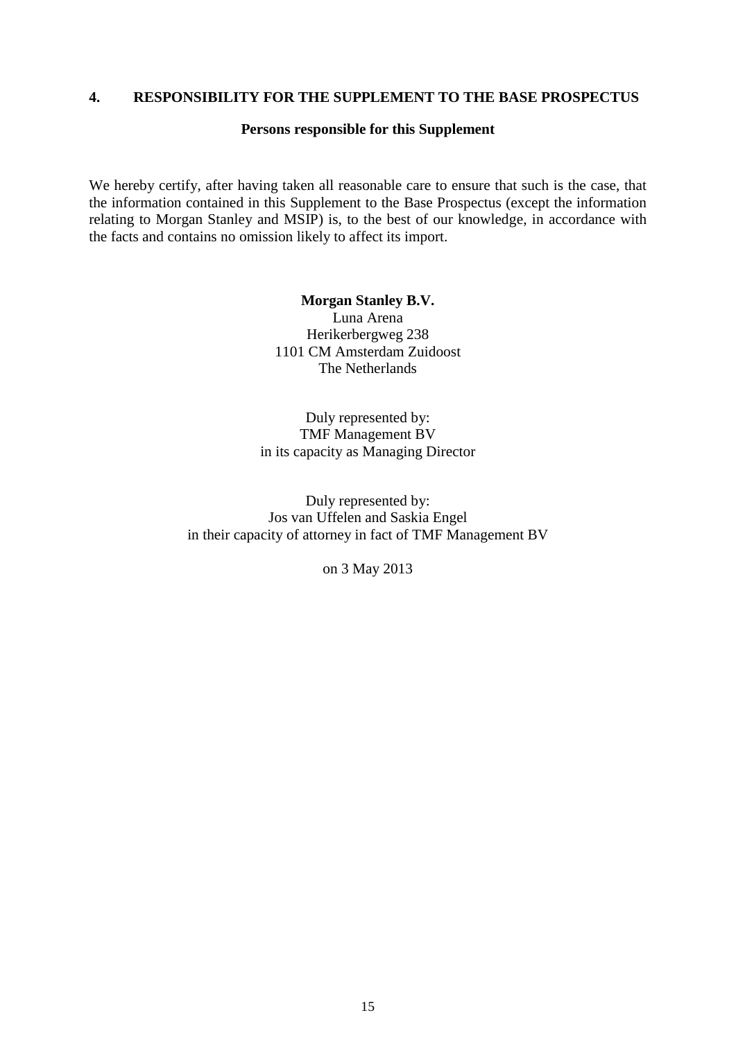#### <span id="page-14-0"></span>**4. RESPONSIBILITY FOR THE SUPPLEMENT TO THE BASE PROSPECTUS**

#### **Persons responsible for this Supplement**

We hereby certify, after having taken all reasonable care to ensure that such is the case, that the information contained in this Supplement to the Base Prospectus (except the information relating to Morgan Stanley and MSIP) is, to the best of our knowledge, in accordance with the facts and contains no omission likely to affect its import.

> **Morgan Stanley B.V.** Luna Arena Herikerbergweg 238 1101 CM Amsterdam Zuidoost The Netherlands

Duly represented by: TMF Management BV in its capacity as Managing Director

Duly represented by: Jos van Uffelen and Saskia Engel in their capacity of attorney in fact of TMF Management BV

on 3 May 2013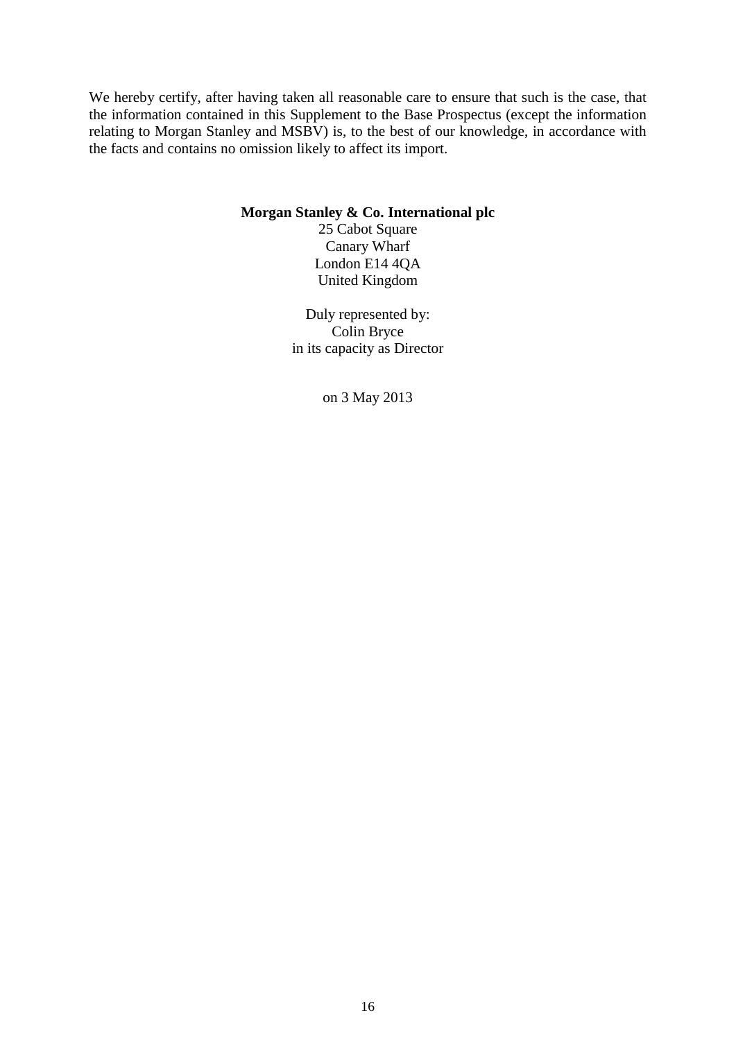We hereby certify, after having taken all reasonable care to ensure that such is the case, that the information contained in this Supplement to the Base Prospectus (except the information relating to Morgan Stanley and MSBV) is, to the best of our knowledge, in accordance with the facts and contains no omission likely to affect its import.

#### **Morgan Stanley & Co. International plc**

25 Cabot Square Canary Wharf London E14 4QA United Kingdom

Duly represented by: Colin Bryce in its capacity as Director

on 3 May 2013